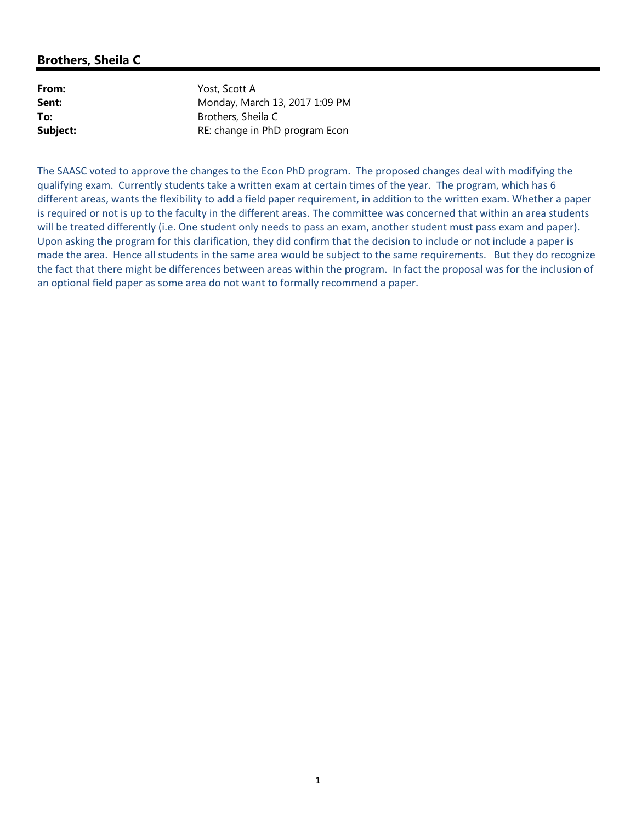# **Brothers, Sheila C**

| From:    |
|----------|
| Sent:    |
| To:      |
| Subject: |

**From:** Yost, Scott A **Sent:** Monday, March 13, 2017 1:09 PM **To:** Brothers, Sheila C **Subject:** RE: change in PhD program Econ

The SAASC voted to approve the changes to the Econ PhD program. The proposed changes deal with modifying the qualifying exam. Currently students take a written exam at certain times of the year. The program, which has 6 different areas, wants the flexibility to add a field paper requirement, in addition to the written exam. Whether a paper is required or not is up to the faculty in the different areas. The committee was concerned that within an area students will be treated differently (i.e. One student only needs to pass an exam, another student must pass exam and paper). Upon asking the program for this clarification, they did confirm that the decision to include or not include a paper is made the area. Hence all students in the same area would be subject to the same requirements. But they do recognize the fact that there might be differences between areas within the program. In fact the proposal was for the inclusion of an optional field paper as some area do not want to formally recommend a paper.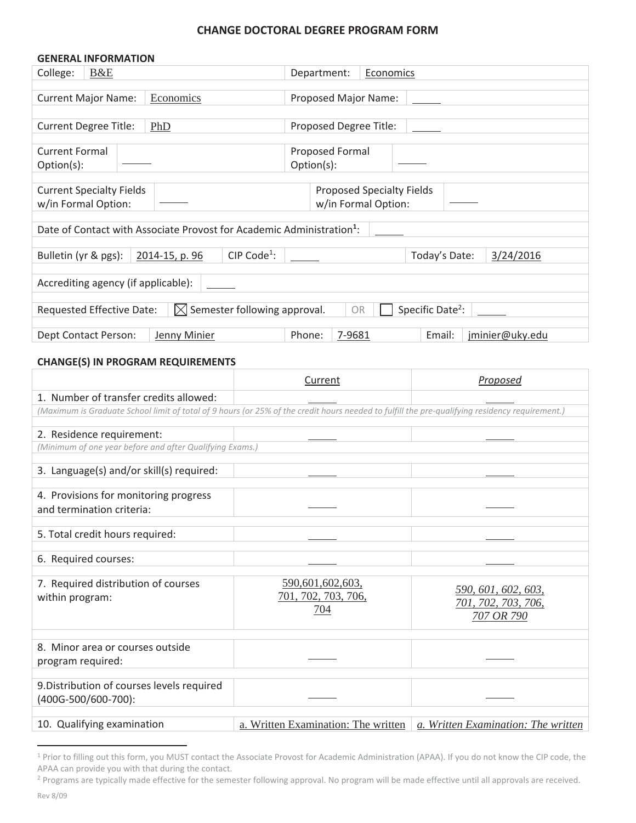### **CHANGE DOCTORAL DEGREE PROGRAM FORM**

| <b>GENERAL INFORMATION</b>                                                                                                                     |                                                         |                                                          |
|------------------------------------------------------------------------------------------------------------------------------------------------|---------------------------------------------------------|----------------------------------------------------------|
| College:<br>B&E                                                                                                                                | Department:                                             | Economics                                                |
| <b>Current Major Name:</b><br>Economics                                                                                                        | Proposed Major Name:                                    |                                                          |
| <b>Current Degree Title:</b><br>PhD                                                                                                            | Proposed Degree Title:                                  |                                                          |
| <b>Current Formal</b><br>Option(s):                                                                                                            | Proposed Formal<br>Option(s):                           |                                                          |
| <b>Current Specialty Fields</b><br>w/in Formal Option:                                                                                         | <b>Proposed Specialty Fields</b><br>w/in Formal Option: |                                                          |
| Date of Contact with Associate Provost for Academic Administration <sup>1</sup> :                                                              |                                                         |                                                          |
| Bulletin (yr & pgs):<br>2014-15, p. 96                                                                                                         | CIP Code <sup>1</sup> :                                 | Today's Date:<br>3/24/2016                               |
| Accrediting agency (if applicable):                                                                                                            |                                                         |                                                          |
| Requested Effective Date:                                                                                                                      | $\boxtimes$ Semester following approval.<br>OR          | Specific Date <sup>2</sup> :                             |
| <b>Dept Contact Person:</b><br>Jenny Minier                                                                                                    | Phone:<br>7-9681                                        | Email:<br>jminier@uky.edu                                |
| <b>CHANGE(S) IN PROGRAM REQUIREMENTS</b>                                                                                                       |                                                         |                                                          |
|                                                                                                                                                | Current                                                 | Proposed                                                 |
| 1. Number of transfer credits allowed:                                                                                                         |                                                         |                                                          |
| (Maximum is Graduate School limit of total of 9 hours (or 25% of the credit hours needed to fulfill the pre-qualifying residency requirement.) |                                                         |                                                          |
| 2. Residence requirement:<br>(Minimum of one year before and after Qualifying Exams.)                                                          |                                                         |                                                          |
| 3. Language(s) and/or skill(s) required:                                                                                                       |                                                         |                                                          |
| 4. Provisions for monitoring progress<br>and termination criteria:                                                                             |                                                         |                                                          |
|                                                                                                                                                |                                                         |                                                          |
| 5. Total credit hours required:                                                                                                                |                                                         |                                                          |
| 6. Required courses:                                                                                                                           |                                                         |                                                          |
| 7. Required distribution of courses<br>within program:                                                                                         | 590,601,602,603,<br>701, 702, 703, 706,<br>704          | 590, 601, 602, 603,<br>701, 702, 703, 706,<br>707 OR 790 |
| 8. Minor area or courses outside<br>program required:                                                                                          |                                                         |                                                          |
| 9. Distribution of courses levels required<br>(400G-500/600-700):                                                                              |                                                         |                                                          |
| 10. Qualifying examination                                                                                                                     | a. Written Examination: The written                     | a. Written Examination: The written                      |

<sup>&</sup>lt;sup>1</sup> Prior to filling out this form, you MUST contact the Associate Provost for Academic Administration (APAA). If you do not know the CIP code, the APAA can provide you with that during the contact.

<sup>&</sup>lt;sup>2</sup> Programs are typically made effective for the semester following approval. No program will be made effective until all approvals are received.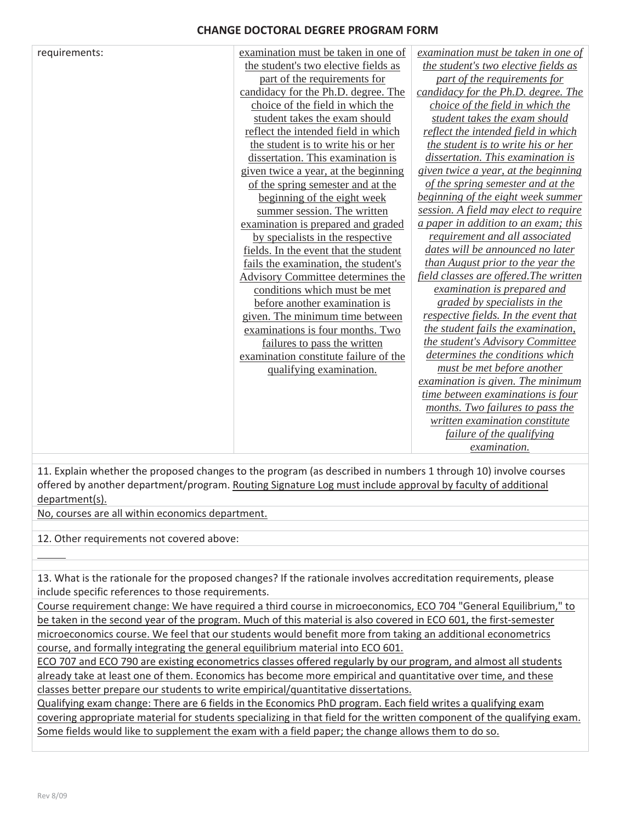### **CHANGE DOCTORAL DEGREE PROGRAM FORM**

| requirements: | examination must be taken in one of   | examination must be taken in one of    |
|---------------|---------------------------------------|----------------------------------------|
|               | the student's two elective fields as  | the student's two elective fields as   |
|               | part of the requirements for          | part of the requirements for           |
|               | candidacy for the Ph.D. degree. The   | candidacy for the Ph.D. degree. The    |
|               | choice of the field in which the      | choice of the field in which the       |
|               | student takes the exam should         | student takes the exam should          |
|               | reflect the intended field in which   | reflect the intended field in which    |
|               | the student is to write his or her    | the student is to write his or her     |
|               | dissertation. This examination is     | dissertation. This examination is      |
|               | given twice a year, at the beginning  | given twice a year, at the beginning   |
|               | of the spring semester and at the     | of the spring semester and at the      |
|               | beginning of the eight week           | beginning of the eight week summer     |
|               | summer session. The written           | session. A field may elect to require  |
|               | examination is prepared and graded    | a paper in addition to an exam; this   |
|               | by specialists in the respective      | requirement and all associated         |
|               | fields. In the event that the student | dates will be announced no later       |
|               | fails the examination, the student's  | than August prior to the year the      |
|               | Advisory Committee determines the     | field classes are offered. The written |
|               | conditions which must be met          | examination is prepared and            |
|               | before another examination is         | graded by specialists in the           |
|               | given. The minimum time between       | respective fields. In the event that   |
|               | examinations is four months. Two      | the student fails the examination,     |
|               | failures to pass the written          | the student's Advisory Committee       |
|               | examination constitute failure of the | determines the conditions which        |
|               | qualifying examination.               | must be met before another             |
|               |                                       | examination is given. The minimum      |
|               |                                       | time between examinations is four      |
|               |                                       | months. Two failures to pass the       |
|               |                                       | written examination constitute         |
|               |                                       | failure of the qualifying              |
|               |                                       | <i>examination.</i>                    |

11. Explain whether the proposed changes to the program (as described in numbers 1 through 10) involve courses offered by another department/program. Routing Signature Log must include approval by faculty of additional department(s).

No, courses are all within economics department.

12. Other requirements not covered above:

13. What is the rationale for the proposed changes? If the rationale involves accreditation requirements, please include specific references to those requirements.

Course requirement change: We have required a third course in microeconomics, ECO 704 "General Equilibrium," to be taken in the second year of the program. Much of this material is also covered in ECO 601, the first-semester microeconomics course. We feel that our students would benefit more from taking an additional econometrics course, and formally integrating the general equilibrium material into ECO 601.

ECO 707 and ECO 790 are existing econometrics classes offered regularly by our program, and almost all students already take at least one of them. Economics has become more empirical and quantitative over time, and these classes better prepare our students to write empirical/quantitative dissertations.

Qualifying exam change: There are 6 fields in the Economics PhD program. Each field writes a qualifying exam covering appropriate material for students specializing in that field for the written component of the qualifying exam. Some fields would like to supplement the exam with a field paper; the change allows them to do so.